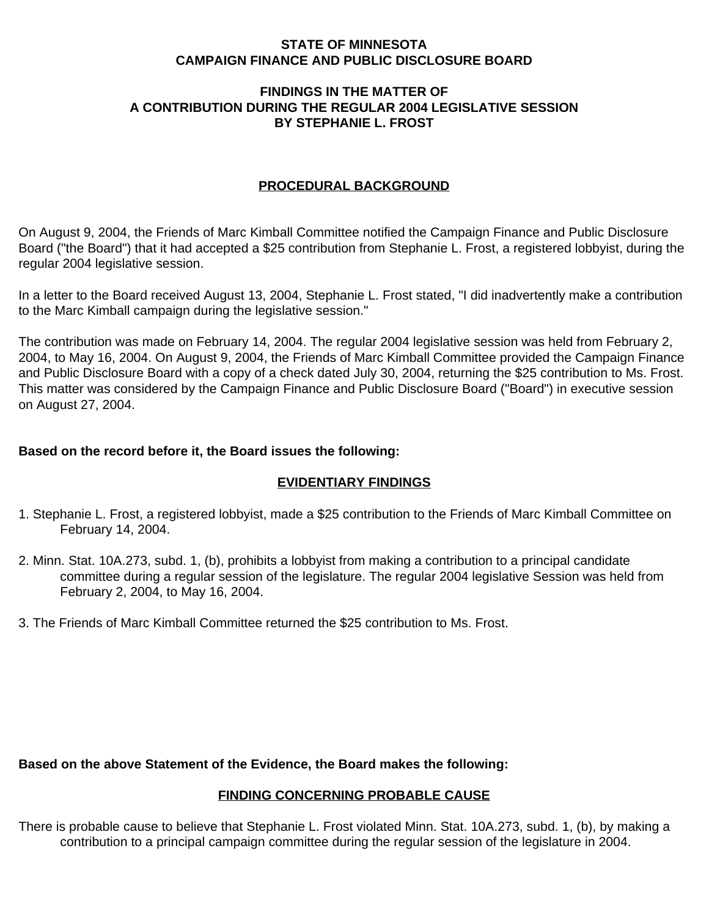#### **STATE OF MINNESOTA CAMPAIGN FINANCE AND PUBLIC DISCLOSURE BOARD**

## **FINDINGS IN THE MATTER OF A CONTRIBUTION DURING THE REGULAR 2004 LEGISLATIVE SESSION BY STEPHANIE L. FROST**

# **PROCEDURAL BACKGROUND**

On August 9, 2004, the Friends of Marc Kimball Committee notified the Campaign Finance and Public Disclosure Board ("the Board") that it had accepted a \$25 contribution from Stephanie L. Frost, a registered lobbyist, during the regular 2004 legislative session.

In a letter to the Board received August 13, 2004, Stephanie L. Frost stated, "I did inadvertently make a contribution to the Marc Kimball campaign during the legislative session."

The contribution was made on February 14, 2004. The regular 2004 legislative session was held from February 2, 2004, to May 16, 2004. On August 9, 2004, the Friends of Marc Kimball Committee provided the Campaign Finance and Public Disclosure Board with a copy of a check dated July 30, 2004, returning the \$25 contribution to Ms. Frost. This matter was considered by the Campaign Finance and Public Disclosure Board ("Board") in executive session on August 27, 2004.

#### **Based on the record before it, the Board issues the following:**

# **EVIDENTIARY FINDINGS**

- 1. Stephanie L. Frost, a registered lobbyist, made a \$25 contribution to the Friends of Marc Kimball Committee on February 14, 2004.
- 2. Minn. Stat. 10A.273, subd. 1, (b), prohibits a lobbyist from making a contribution to a principal candidate committee during a regular session of the legislature. The regular 2004 legislative Session was held from February 2, 2004, to May 16, 2004.
- 3. The Friends of Marc Kimball Committee returned the \$25 contribution to Ms. Frost.

**Based on the above Statement of the Evidence, the Board makes the following:**

# **FINDING CONCERNING PROBABLE CAUSE**

There is probable cause to believe that Stephanie L. Frost violated Minn. Stat. 10A.273, subd. 1, (b), by making a contribution to a principal campaign committee during the regular session of the legislature in 2004.